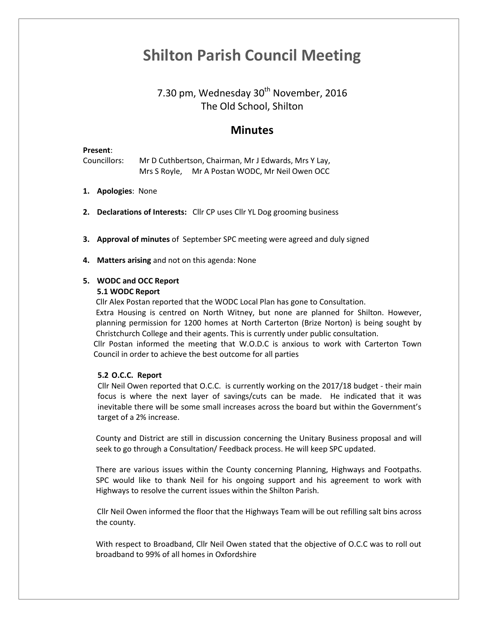# **Shilton Parish Council Meeting**

## 7.30 pm, Wednesday 30<sup>th</sup> November, 2016 The Old School, Shilton

### **Minutes**

#### **Present**:

Councillors: Mr D Cuthbertson, Chairman, Mr J Edwards, Mrs Y Lay, Mrs S Royle, Mr A Postan WODC, Mr Neil Owen OCC

- **1. Apologies**: None
- **2. Declarations of Interests:** Cllr CP uses Cllr YL Dog grooming business
- **3. Approval of minutes** of September SPC meeting were agreed and duly signed
- **4. Matters arising** and not on this agenda: None

### **5. WODC and OCC Report**

### **5.1 WODC Report**

Cllr Alex Postan reported that the WODC Local Plan has gone to Consultation.

Extra Housing is centred on North Witney, but none are planned for Shilton. However, planning permission for 1200 homes at North Carterton (Brize Norton) is being sought by Christchurch College and their agents. This is currently under public consultation.

Cllr Postan informed the meeting that W.O.D.C is anxious to work with Carterton Town Council in order to achieve the best outcome for all parties

### **5.2 O.C.C. Report**

Cllr Neil Owen reported that O.C.C. is currently working on the 2017/18 budget - their main focus is where the next layer of savings/cuts can be made. He indicated that it was inevitable there will be some small increases across the board but within the Government's target of a 2% increase.

County and District are still in discussion concerning the Unitary Business proposal and will seek to go through a Consultation/ Feedback process. He will keep SPC updated.

There are various issues within the County concerning Planning, Highways and Footpaths. SPC would like to thank Neil for his ongoing support and his agreement to work with Highways to resolve the current issues within the Shilton Parish.

Cllr Neil Owen informed the floor that the Highways Team will be out refilling salt bins across the county.

With respect to Broadband, Cllr Neil Owen stated that the objective of O.C.C was to roll out broadband to 99% of all homes in Oxfordshire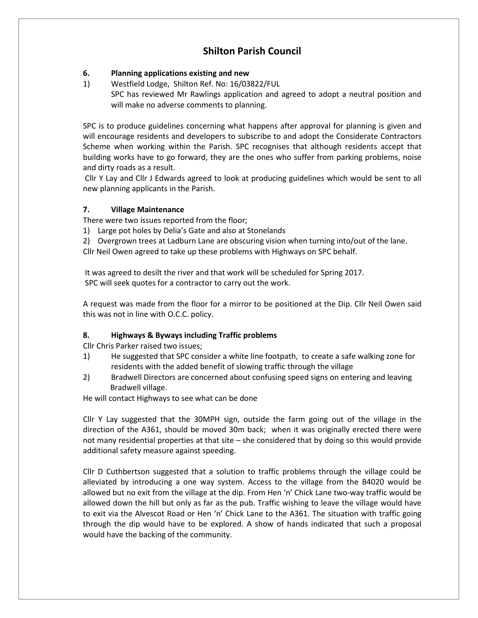### **Shilton Parish Council**

### **6. Planning applications existing and new**

1) Westfield Lodge, Shilton Ref. No: 16/03822/FUL SPC has reviewed Mr Rawlings application and agreed to adopt a neutral position and will make no adverse comments to planning.

SPC is to produce guidelines concerning what happens after approval for planning is given and will encourage residents and developers to subscribe to and adopt the Considerate Contractors Scheme when working within the Parish. SPC recognises that although residents accept that building works have to go forward, they are the ones who suffer from parking problems, noise and dirty roads as a result.

Cllr Y Lay and Cllr J Edwards agreed to look at producing guidelines which would be sent to all new planning applicants in the Parish.

### **7. Village Maintenance**

There were two issues reported from the floor;

- 1) Large pot holes by Delia's Gate and also at Stonelands
- 2) Overgrown trees at Ladburn Lane are obscuring vision when turning into/out of the lane.

Cllr Neil Owen agreed to take up these problems with Highways on SPC behalf.

It was agreed to desilt the river and that work will be scheduled for Spring 2017. SPC will seek quotes for a contractor to carry out the work.

A request was made from the floor for a mirror to be positioned at the Dip. Cllr Neil Owen said this was not in line with O.C.C. policy.

### **8. Highways & Byways including Traffic problems**

Cllr Chris Parker raised two issues;

- 1) He suggested that SPC consider a white line footpath, to create a safe walking zone for residents with the added benefit of slowing traffic through the village
- 2) Bradwell Directors are concerned about confusing speed signs on entering and leaving Bradwell village.

He will contact Highways to see what can be done

Cllr Y Lay suggested that the 30MPH sign, outside the farm going out of the village in the direction of the A361, should be moved 30m back; when it was originally erected there were not many residential properties at that site – she considered that by doing so this would provide additional safety measure against speeding.

Cllr D Cuthbertson suggested that a solution to traffic problems through the village could be alleviated by introducing a one way system. Access to the village from the B4020 would be allowed but no exit from the village at the dip. From Hen 'n' Chick Lane two-way traffic would be allowed down the hill but only as far as the pub. Traffic wishing to leave the village would have to exit via the Alvescot Road or Hen 'n' Chick Lane to the A361. The situation with traffic going through the dip would have to be explored. A show of hands indicated that such a proposal would have the backing of the community.